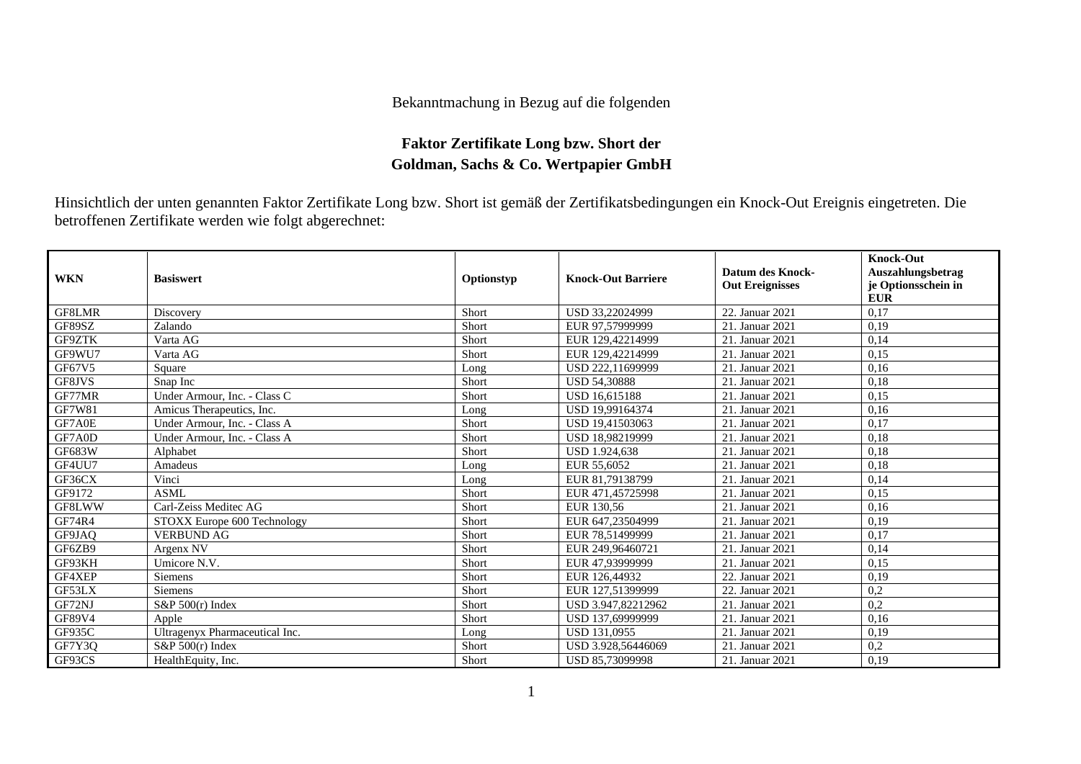## Bekanntmachung in Bezug auf die folgenden

## **Faktor Zertifikate Long bzw. Short der Goldman, Sachs & Co. Wertpapier GmbH**

Hinsichtlich der unten genannten Faktor Zertifikate Long bzw. Short ist gemäß der Zertifikatsbedingungen ein Knock-Out Ereignis eingetreten. Die betroffenen Zertifikate werden wie folgt abgerechnet:

| <b>WKN</b>    | <b>Basiswert</b>               | Optionstyp | <b>Knock-Out Barriere</b> | Datum des Knock-<br><b>Out Ereignisses</b> | <b>Knock-Out</b><br>Auszahlungsbetrag<br>je Optionsschein in<br><b>EUR</b> |
|---------------|--------------------------------|------------|---------------------------|--------------------------------------------|----------------------------------------------------------------------------|
| GF8LMR        | Discovery                      | Short      | USD 33.22024999           | 22. Januar 2021                            | 0.17                                                                       |
| GF89SZ        | Zalando                        | Short      | EUR 97.57999999           | 21. Januar 2021                            | 0,19                                                                       |
| GF9ZTK        | Varta AG                       | Short      | EUR 129,42214999          | 21. Januar 2021                            | 0,14                                                                       |
| GF9WU7        | Varta AG                       | Short      | EUR 129,42214999          | 21. Januar 2021                            | 0,15                                                                       |
| GF67V5        | Square                         | Long       | USD 222,11699999          | 21. Januar 2021                            | 0,16                                                                       |
| GF8JVS        | Snap Inc                       | Short      | <b>USD 54,30888</b>       | 21. Januar 2021                            | 0.18                                                                       |
| GF77MR        | Under Armour, Inc. - Class C   | Short      | <b>USD 16,615188</b>      | 21. Januar 2021                            | 0.15                                                                       |
| <b>GF7W81</b> | Amicus Therapeutics, Inc.      | Long       | USD 19,99164374           | 21. Januar 2021                            | 0,16                                                                       |
| GF7A0E        | Under Armour, Inc. - Class A   | Short      | USD 19,41503063           | 21. Januar 2021                            | 0,17                                                                       |
| GF7A0D        | Under Armour, Inc. - Class A   | Short      | USD 18,98219999           | 21. Januar 2021                            | 0.18                                                                       |
| GF683W        | Alphabet                       | Short      | <b>USD 1.924.638</b>      | 21. Januar 2021                            | 0,18                                                                       |
| GF4UU7        | Amadeus                        | Long       | EUR 55,6052               | 21. Januar 2021                            | 0.18                                                                       |
| GF36CX        | Vinci                          | Long       | EUR 81,79138799           | 21. Januar 2021                            | 0,14                                                                       |
| GF9172        | ASML                           | Short      | EUR 471,45725998          | 21. Januar 2021                            | 0.15                                                                       |
| GF8LWW        | Carl-Zeiss Meditec AG          | Short      | EUR 130.56                | 21. Januar 2021                            | 0,16                                                                       |
| GF74R4        | STOXX Europe 600 Technology    | Short      | EUR 647,23504999          | 21. Januar 2021                            | 0,19                                                                       |
| GF9JAQ        | <b>VERBUND AG</b>              | Short      | EUR 78.51499999           | 21. Januar 2021                            | 0,17                                                                       |
| GF6ZB9        | Argenx NV                      | Short      | EUR 249,96460721          | 21. Januar 2021                            | 0,14                                                                       |
| GF93KH        | Umicore N.V.                   | Short      | EUR 47,93999999           | 21. Januar 2021                            | 0,15                                                                       |
| GF4XEP        | Siemens                        | Short      | EUR 126,44932             | 22. Januar 2021                            | 0,19                                                                       |
| GF53LX        | <b>Siemens</b>                 | Short      | EUR 127,51399999          | 22. Januar 2021                            | 0,2                                                                        |
| GF72NJ        | $S\&P 500(r)$ Index            | Short      | USD 3.947.82212962        | 21. Januar 2021                            | 0.2                                                                        |
| <b>GF89V4</b> | Apple                          | Short      | USD 137,69999999          | 21. Januar 2021                            | 0,16                                                                       |
| <b>GF935C</b> | Ultragenyx Pharmaceutical Inc. | Long       | USD 131,0955              | 21. Januar 2021                            | 0,19                                                                       |
| GF7Y3Q        | $S\&P 500(r)$ Index            | Short      | USD 3.928,56446069        | 21. Januar 2021                            | 0,2                                                                        |
| GF93CS        | HealthEquity, Inc.             | Short      | USD 85,73099998           | 21. Januar 2021                            | 0,19                                                                       |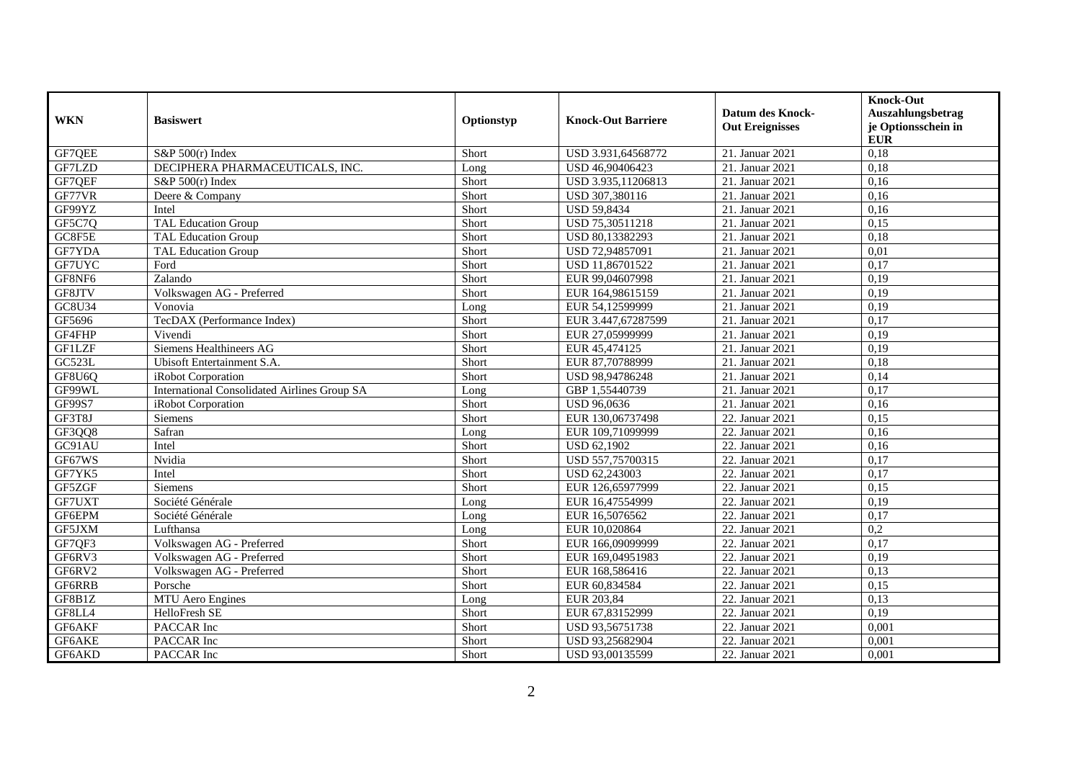| <b>WKN</b>    | <b>Basiswert</b>                                    | Optionstyp | <b>Knock-Out Barriere</b> | <b>Datum des Knock-</b><br><b>Out Ereignisses</b> | <b>Knock-Out</b><br>Auszahlungsbetrag<br>je Optionsschein in<br><b>EUR</b> |
|---------------|-----------------------------------------------------|------------|---------------------------|---------------------------------------------------|----------------------------------------------------------------------------|
| GF7QEE        | $S\&P 500(r)$ Index                                 | Short      | USD 3.931,64568772        | 21. Januar 2021                                   | 0,18                                                                       |
| GF7LZD        | DECIPHERA PHARMACEUTICALS, INC.                     | Long       | USD 46.90406423           | 21. Januar 2021                                   | 0.18                                                                       |
| GF7QEF        | $S\&P 500(r)$ Index                                 | Short      | USD 3.935,11206813        | 21. Januar 2021                                   | 0,16                                                                       |
| GF77VR        | Deere & Company                                     | Short      | USD 307,380116            | 21. Januar 2021                                   | 0,16                                                                       |
| GF99YZ        | Intel                                               | Short      | <b>USD 59,8434</b>        | 21. Januar 2021                                   | 0,16                                                                       |
| GF5C7Q        | TAL Education Group                                 | Short      | USD 75,30511218           | 21. Januar 2021                                   | 0,15                                                                       |
| GC8F5E        | <b>TAL Education Group</b>                          | Short      | USD 80,13382293           | 21. Januar 2021                                   | 0,18                                                                       |
| GF7YDA        | <b>TAL Education Group</b>                          | Short      | USD 72,94857091           | 21. Januar 2021                                   | 0,01                                                                       |
| GF7UYC        | Ford                                                | Short      | USD 11,86701522           | 21. Januar 2021                                   | 0,17                                                                       |
| GF8NF6        | Zalando                                             | Short      | EUR 99,04607998           | 21. Januar 2021                                   | 0,19                                                                       |
| GF8JTV        | Volkswagen AG - Preferred                           | Short      | EUR 164,98615159          | 21. Januar 2021                                   | 0,19                                                                       |
| GC8U34        | Vonovia                                             | Long       | EUR 54,12599999           | 21. Januar 2021                                   | 0,19                                                                       |
| GF5696        | TecDAX (Performance Index)                          | Short      | EUR 3.447,67287599        | 21. Januar 2021                                   | 0,17                                                                       |
| GF4FHP        | Vivendi                                             | Short      | EUR 27,05999999           | 21. Januar 2021                                   | 0,19                                                                       |
| <b>GF1LZF</b> | Siemens Healthineers AG                             | Short      | EUR 45,474125             | 21. Januar 2021                                   | 0,19                                                                       |
| GC523L        | Ubisoft Entertainment S.A.                          | Short      | EUR 87,70788999           | 21. Januar 2021                                   | 0,18                                                                       |
| GF8U6Q        | iRobot Corporation                                  | Short      | USD 98,94786248           | 21. Januar 2021                                   | 0,14                                                                       |
| GF99WL        | <b>International Consolidated Airlines Group SA</b> | Long       | GBP 1,55440739            | 21. Januar 2021                                   | 0,17                                                                       |
| GF99S7        | iRobot Corporation                                  | Short      | USD 96,0636               | 21. Januar 2021                                   | 0,16                                                                       |
| GF3T8J        | <b>Siemens</b>                                      | Short      | EUR 130,06737498          | 22. Januar 2021                                   | 0.15                                                                       |
| GF3QQ8        | Safran                                              | Long       | EUR 109,71099999          | 22. Januar 2021                                   | 0,16                                                                       |
| GC91AU        | Intel                                               | Short      | <b>USD 62,1902</b>        | 22. Januar 2021                                   | 0,16                                                                       |
| GF67WS        | Nvidia                                              | Short      | USD 557,75700315          | 22. Januar 2021                                   | 0,17                                                                       |
| GF7YK5        | Intel                                               | Short      | USD 62,243003             | 22. Januar 2021                                   | 0,17                                                                       |
| GF5ZGF        | Siemens                                             | Short      | EUR 126,65977999          | 22. Januar 2021                                   | 0,15                                                                       |
| GF7UXT        | Société Générale                                    | Long       | EUR 16,47554999           | 22. Januar 2021                                   | 0,19                                                                       |
| GF6EPM        | Société Générale                                    | Long       | EUR 16,5076562            | 22. Januar 2021                                   | 0,17                                                                       |
| GF5JXM        | Lufthansa                                           | Long       | EUR 10.020864             | 22. Januar 2021                                   | 0,2                                                                        |
| GF7QF3        | Volkswagen AG - Preferred                           | Short      | EUR 166,09099999          | 22. Januar 2021                                   | 0,17                                                                       |
| GF6RV3        | Volkswagen AG - Preferred                           | Short      | EUR 169,04951983          | 22. Januar 2021                                   | 0,19                                                                       |
| GF6RV2        | Volkswagen AG - Preferred                           | Short      | EUR 168,586416            | 22. Januar 2021                                   | 0,13                                                                       |
| GF6RRB        | Porsche                                             | Short      | EUR 60,834584             | 22. Januar 2021                                   | 0,15                                                                       |
| GF8B1Z        | MTU Aero Engines                                    | Long       | EUR 203,84                | 22. Januar 2021                                   | 0,13                                                                       |
| GF8LL4        | HelloFresh SE                                       | Short      | EUR 67,83152999           | 22. Januar 2021                                   | 0,19                                                                       |
| GF6AKF        | PACCAR Inc                                          | Short      | USD 93,56751738           | 22. Januar 2021                                   | 0,001                                                                      |
| GF6AKE        | PACCAR Inc                                          | Short      | USD 93,25682904           | 22. Januar 2021                                   | 0,001                                                                      |
| GF6AKD        | PACCAR Inc                                          | Short      | USD 93,00135599           | 22. Januar 2021                                   | 0,001                                                                      |